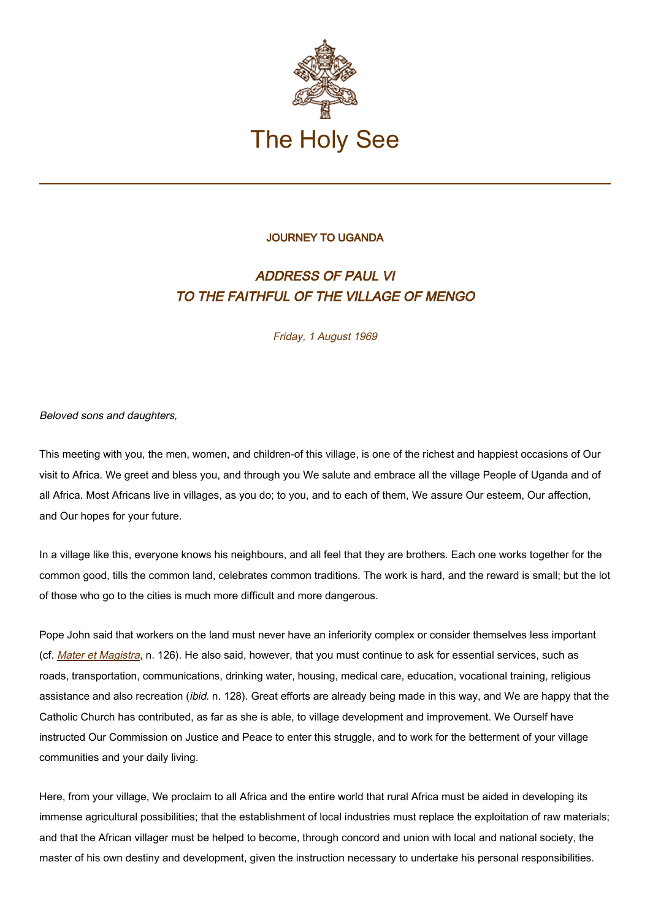

## JOURNEY TO UGANDA

## ADDRESS OF PAUL VI TO THE FAITHFUL OF THE VILLAGE OF MENGO

Friday, 1 August 1969

Beloved sons and daughters,

This meeting with you, the men, women, and children-of this village, is one of the richest and happiest occasions of Our visit to Africa. We greet and bless you, and through you We salute and embrace all the village People of Uganda and of all Africa. Most Africans live in villages, as you do; to you, and to each of them, We assure Our esteem, Our affection, and Our hopes for your future.

In a village like this, everyone knows his neighbours, and all feel that they are brothers. Each one works together for the common good, tills the common land, celebrates common traditions. The work is hard, and the reward is small; but the lot of those who go to the cities is much more difficult and more dangerous.

Pope John said that workers on the land must never have an inferiority complex or consider themselves less important (cf. *[Mater et Magistra](https://www.vatican.va/content/john-xxiii/en/encyclicals/documents/hf_j-xxiii_enc_15051961_mater.html), n.* 126). He also said, however, that you must continue to ask for essential services, such as roads, transportation, communications, drinking water, housing, medical care, education, vocational training, religious assistance and also recreation (ibid. n. 128). Great efforts are already being made in this way, and We are happy that the Catholic Church has contributed, as far as she is able, to village development and improvement. We Ourself have instructed Our Commission on Justice and Peace to enter this struggle, and to work for the betterment of your village communities and your daily living.

Here, from your village, We proclaim to all Africa and the entire world that rural Africa must be aided in developing its immense agricultural possibilities; that the establishment of local industries must replace the exploitation of raw materials; and that the African villager must be helped to become, through concord and union with local and national society, the master of his own destiny and development, given the instruction necessary to undertake his personal responsibilities.